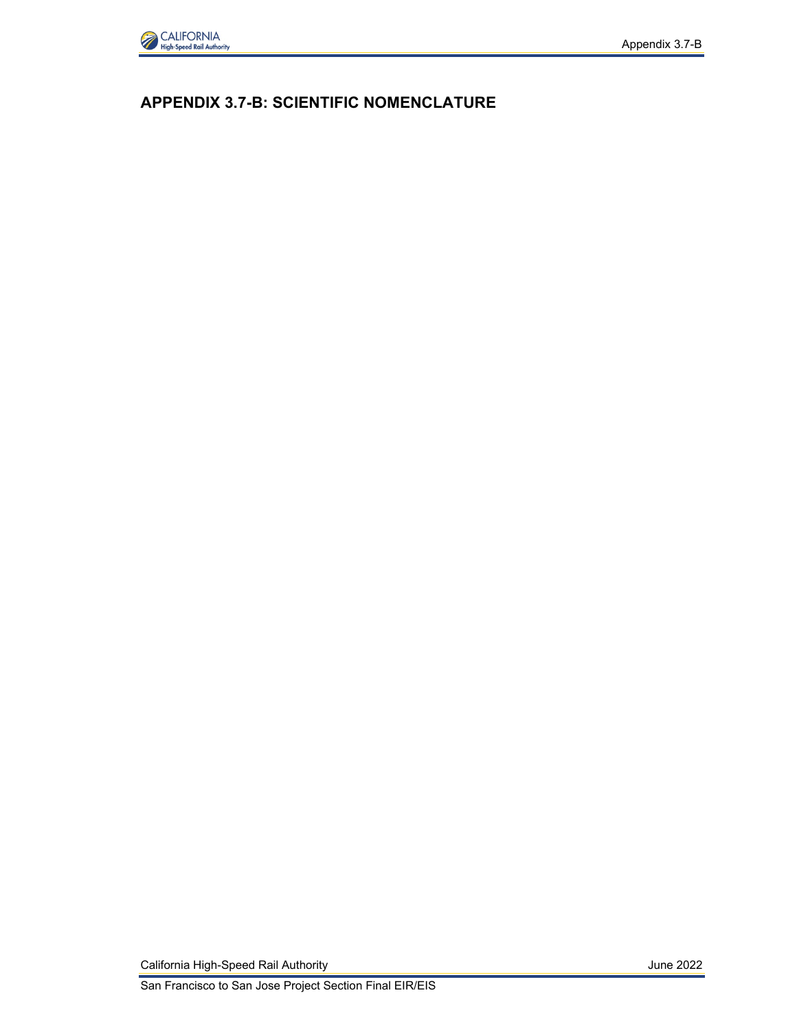

## **APPENDIX 3.7-B: SCIENTIFIC NOMENCLATURE**

California High-Speed Rail Authority **California High-Speed Rail Authority June 2022** 

San Francisco to San Jose Project Section Final EIR/EIS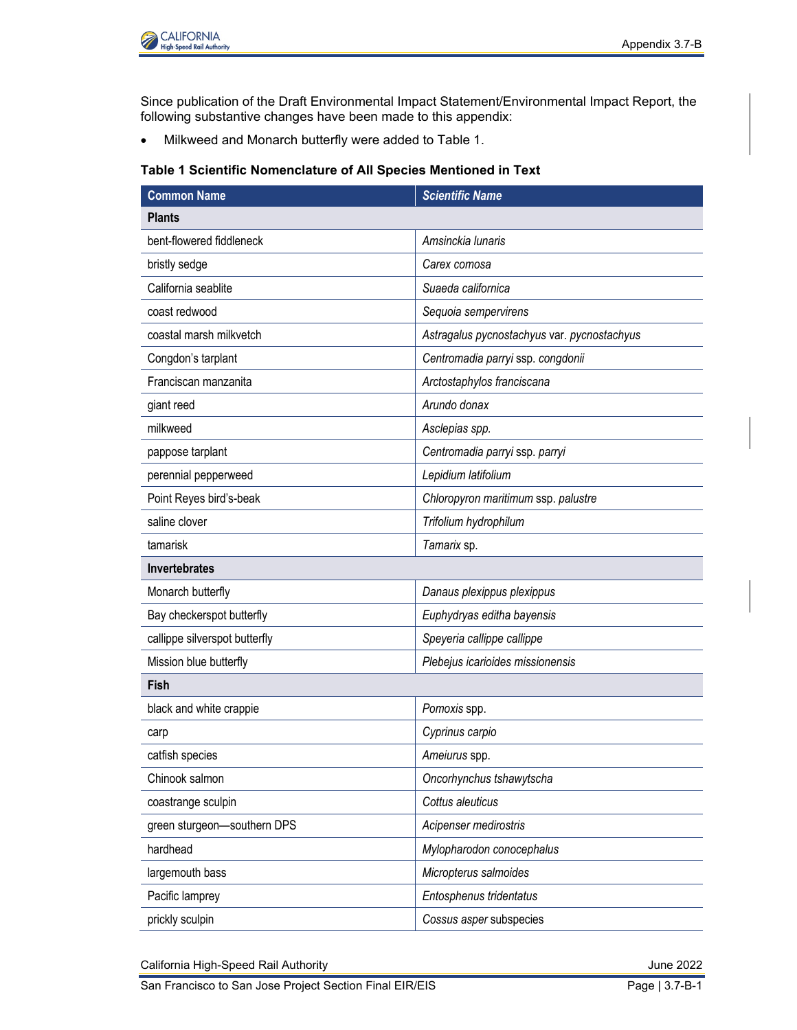

Since publication of the Draft Environmental Impact Statement/Environmental Impact Report, the following substantive changes have been made to this appendix:

• Milkweed and Monarch butterfly were added to Table 1.

## **Table 1 Scientific Nomenclature of All Species Mentioned in Text**

| <b>Common Name</b>            | <b>Scientific Name</b>                      |
|-------------------------------|---------------------------------------------|
| <b>Plants</b>                 |                                             |
| bent-flowered fiddleneck      | Amsinckia lunaris                           |
| bristly sedge                 | Carex comosa                                |
| California seablite           | Suaeda californica                          |
| coast redwood                 | Sequoia sempervirens                        |
| coastal marsh milkvetch       | Astragalus pycnostachyus var. pycnostachyus |
| Congdon's tarplant            | Centromadia parryi ssp. congdonii           |
| Franciscan manzanita          | Arctostaphylos franciscana                  |
| giant reed                    | Arundo donax                                |
| milkweed                      | Asclepias spp.                              |
| pappose tarplant              | Centromadia parryi ssp. parryi              |
| perennial pepperweed          | Lepidium latifolium                         |
| Point Reyes bird's-beak       | Chloropyron maritimum ssp. palustre         |
| saline clover                 | Trifolium hydrophilum                       |
| tamarisk                      | Tamarix sp.                                 |
| Invertebrates                 |                                             |
| Monarch butterfly             | Danaus plexippus plexippus                  |
| Bay checkerspot butterfly     | Euphydryas editha bayensis                  |
| callippe silverspot butterfly | Speyeria callippe callippe                  |
| Mission blue butterfly        | Plebejus icarioides missionensis            |
| Fish                          |                                             |
| black and white crappie       | Pomoxis spp.                                |
| carp                          | Cyprinus carpio                             |
| catfish species               | Ameiurus spp.                               |
| Chinook salmon                | Oncorhynchus tshawytscha                    |
| coastrange sculpin            | Cottus aleuticus                            |
| green sturgeon-southern DPS   | Acipenser medirostris                       |
| hardhead                      | Mylopharodon conocephalus                   |
| largemouth bass               | Micropterus salmoides                       |
| Pacific lamprey               | Entosphenus tridentatus                     |
| prickly sculpin               | Cossus asper subspecies                     |

California High-Speed Rail Authority **California High-Speed Rail Authority** June 2022

San Francisco to San Jose Project Section Final EIR/EIS **Page 13.7-B-1**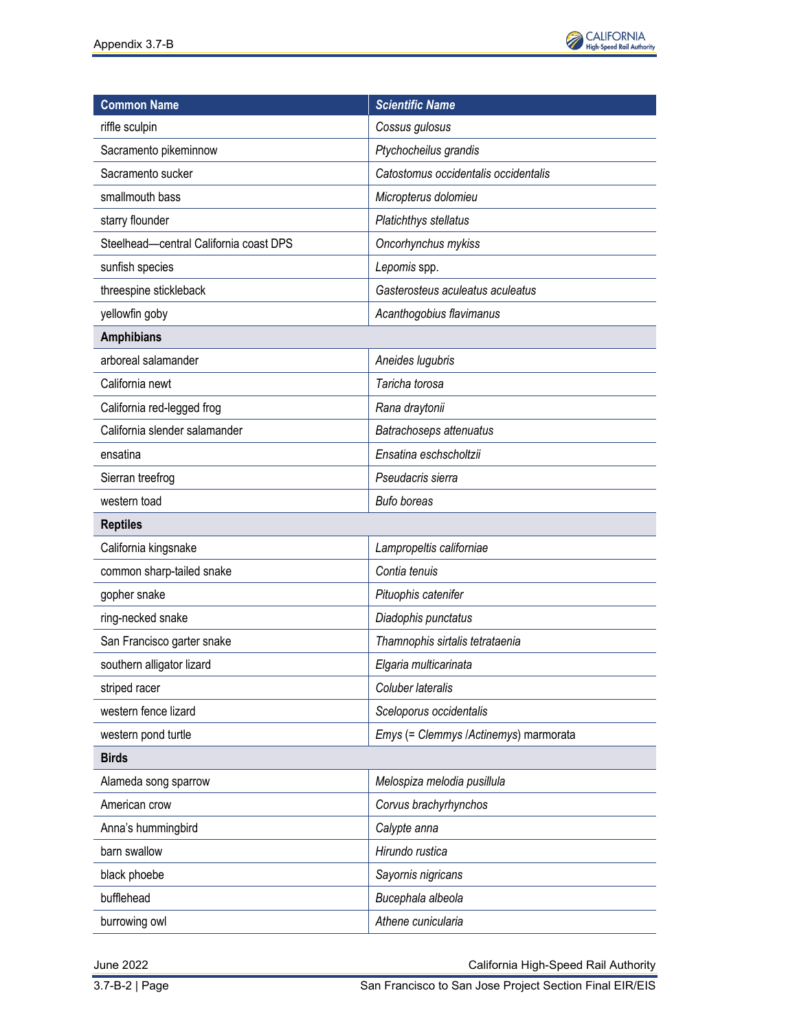

| <b>Common Name</b>                     | <b>Scientific Name</b>                |
|----------------------------------------|---------------------------------------|
| riffle sculpin                         | Cossus gulosus                        |
| Sacramento pikeminnow                  | Ptychocheilus grandis                 |
| Sacramento sucker                      | Catostomus occidentalis occidentalis  |
| smallmouth bass                        | Micropterus dolomieu                  |
| starry flounder                        | Platichthys stellatus                 |
| Steelhead-central California coast DPS | Oncorhynchus mykiss                   |
| sunfish species                        | Lepomis spp.                          |
| threespine stickleback                 | Gasterosteus aculeatus aculeatus      |
| yellowfin goby                         | Acanthogobius flavimanus              |
| <b>Amphibians</b>                      |                                       |
| arboreal salamander                    | Aneides lugubris                      |
| California newt                        | Taricha torosa                        |
| California red-legged frog             | Rana draytonii                        |
| California slender salamander          | Batrachoseps attenuatus               |
| ensatina                               | Ensatina eschscholtzii                |
| Sierran treefrog                       | Pseudacris sierra                     |
| western toad                           | <b>Bufo boreas</b>                    |
| <b>Reptiles</b>                        |                                       |
| California kingsnake                   | Lampropeltis californiae              |
| common sharp-tailed snake              | Contia tenuis                         |
| gopher snake                           | Pituophis catenifer                   |
| ring-necked snake                      | Diadophis punctatus                   |
| San Francisco garter snake             | Thamnophis sirtalis tetrataenia       |
| southern alligator lizard              | Elgaria multicarinata                 |
| striped racer                          | Coluber lateralis                     |
| western fence lizard                   | Sceloporus occidentalis               |
| western pond turtle                    | Emys (= Clemmys /Actinemys) marmorata |
| <b>Birds</b>                           |                                       |
| Alameda song sparrow                   | Melospiza melodia pusillula           |
| American crow                          | Corvus brachyrhynchos                 |
| Anna's hummingbird                     | Calypte anna                          |
| barn swallow                           | Hirundo rustica                       |
| black phoebe                           | Sayornis nigricans                    |
| bufflehead                             | Bucephala albeola                     |
| burrowing owl                          | Athene cunicularia                    |

June 2022 California High-Speed Rail Authority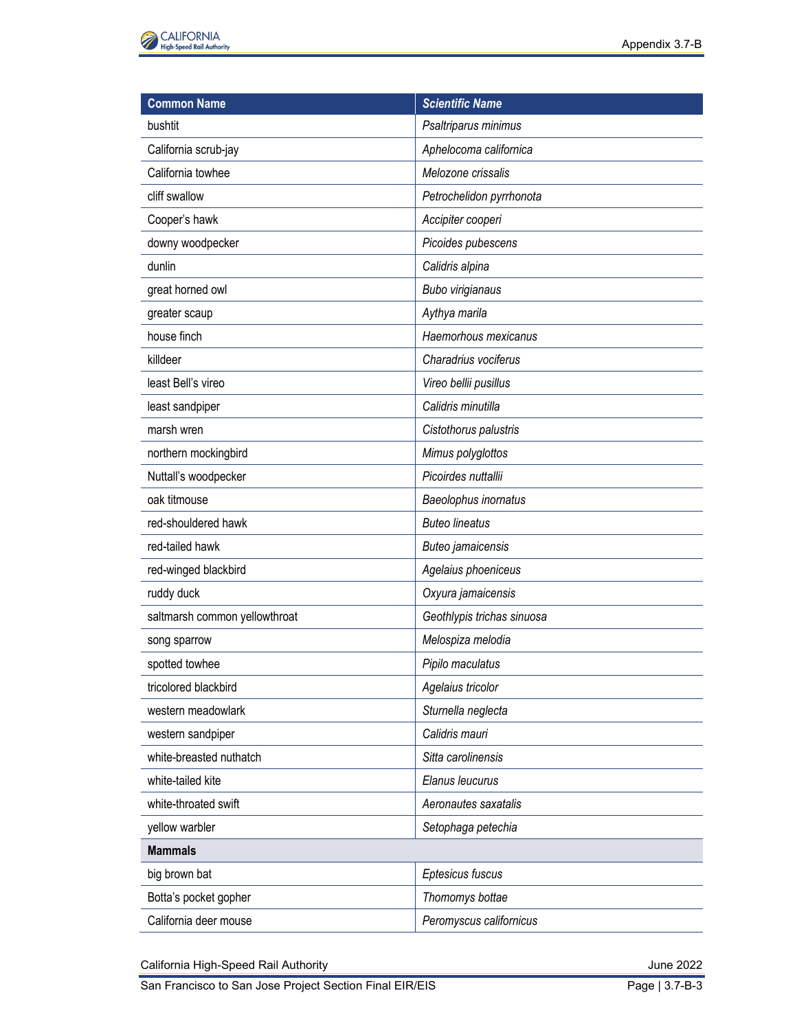

| <b>Common Name</b>            | <b>Scientific Name</b>     |
|-------------------------------|----------------------------|
| bushtit                       | Psaltriparus minimus       |
| California scrub-jay          | Aphelocoma californica     |
| California towhee             | Melozone crissalis         |
| cliff swallow                 | Petrochelidon pyrrhonota   |
| Cooper's hawk                 | Accipiter cooperi          |
| downy woodpecker              | Picoides pubescens         |
| dunlin                        | Calidris alpina            |
| great horned owl              | Bubo virigianaus           |
| greater scaup                 | Aythya marila              |
| house finch                   | Haemorhous mexicanus       |
| killdeer                      | Charadrius vociferus       |
| least Bell's vireo            | Vireo bellii pusillus      |
| least sandpiper               | Calidris minutilla         |
| marsh wren                    | Cistothorus palustris      |
| northern mockingbird          | Mimus polyglottos          |
| Nuttall's woodpecker          | Picoirdes nuttallii        |
| oak titmouse                  | Baeolophus inornatus       |
| red-shouldered hawk           | <b>Buteo lineatus</b>      |
| red-tailed hawk               | Buteo jamaicensis          |
| red-winged blackbird          | Agelaius phoeniceus        |
| ruddy duck                    | Oxyura jamaicensis         |
| saltmarsh common yellowthroat | Geothlypis trichas sinuosa |
| song sparrow                  | Melospiza melodia          |
| spotted towhee                | Pipilo maculatus           |
| tricolored blackbird          | Agelaius tricolor          |
| western meadowlark            | Sturnella neglecta         |
| western sandpiper             | Calidris mauri             |
| white-breasted nuthatch       | Sitta carolinensis         |
| white-tailed kite             | Elanus leucurus            |
| white-throated swift          | Aeronautes saxatalis       |
| yellow warbler                | Setophaga petechia         |
| <b>Mammals</b>                |                            |
| big brown bat                 | Eptesicus fuscus           |
| Botta's pocket gopher         | Thomomys bottae            |
| California deer mouse         | Peromyscus californicus    |

California High-Speed Rail Authority June 2022